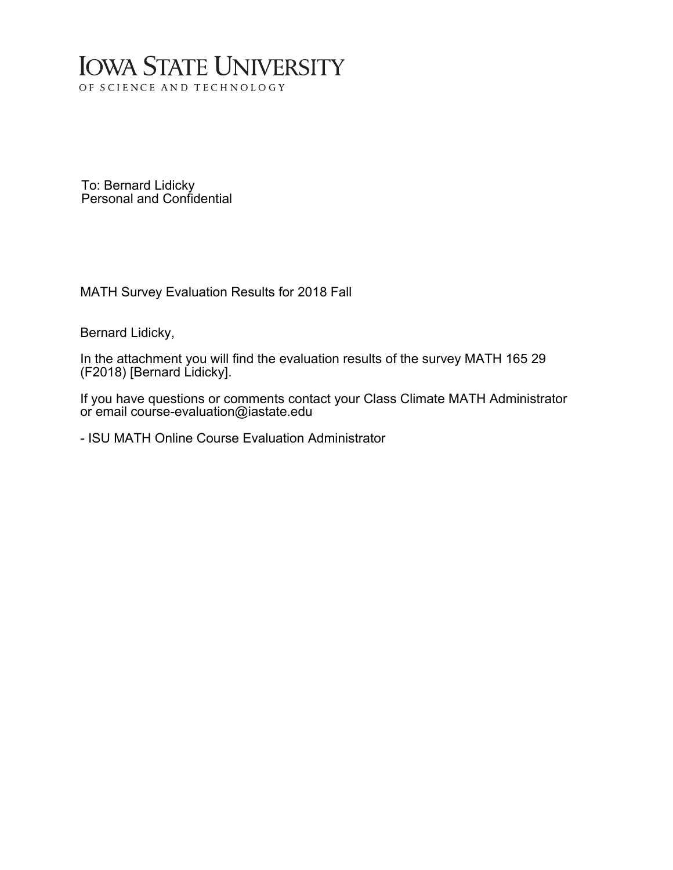# **IOWA STATE UNIVERSITY** OF SCIENCE AND TECHNOLOGY

To: Bernard Lidicky Personal and Confidential

MATH Survey Evaluation Results for 2018 Fall

Bernard Lidicky,

In the attachment you will find the evaluation results of the survey MATH 165 29 (F2018) [Bernard Lidicky].

If you have questions or comments contact your Class Climate MATH Administrator or email course-evaluation@iastate.edu

- ISU MATH Online Course Evaluation Administrator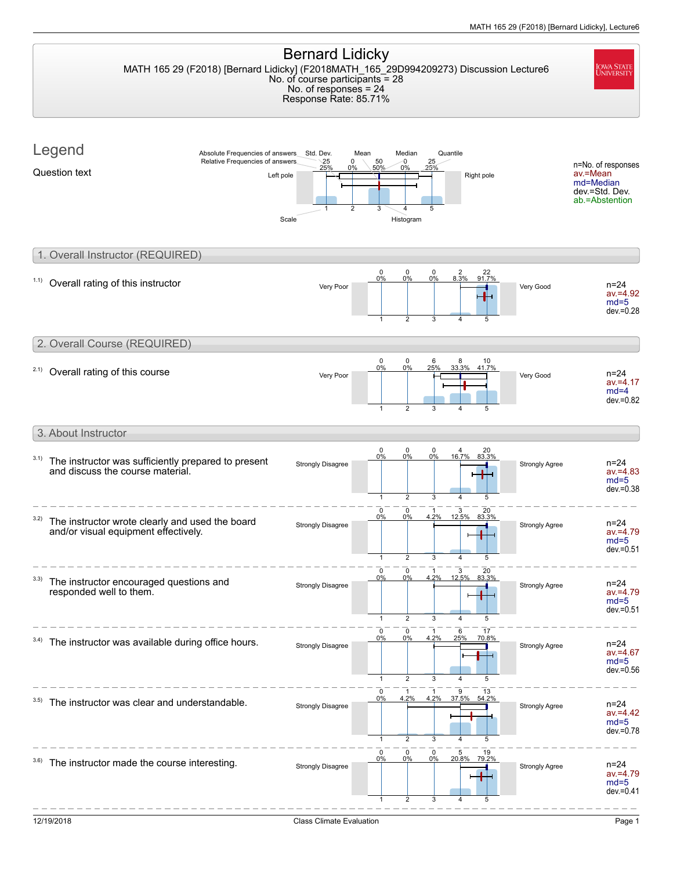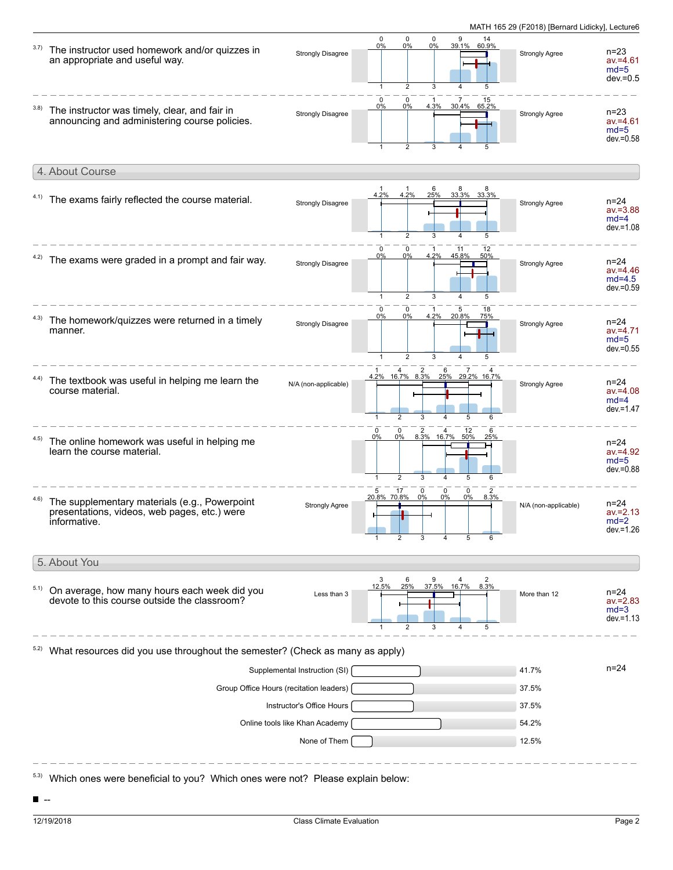

 $\blacksquare$ --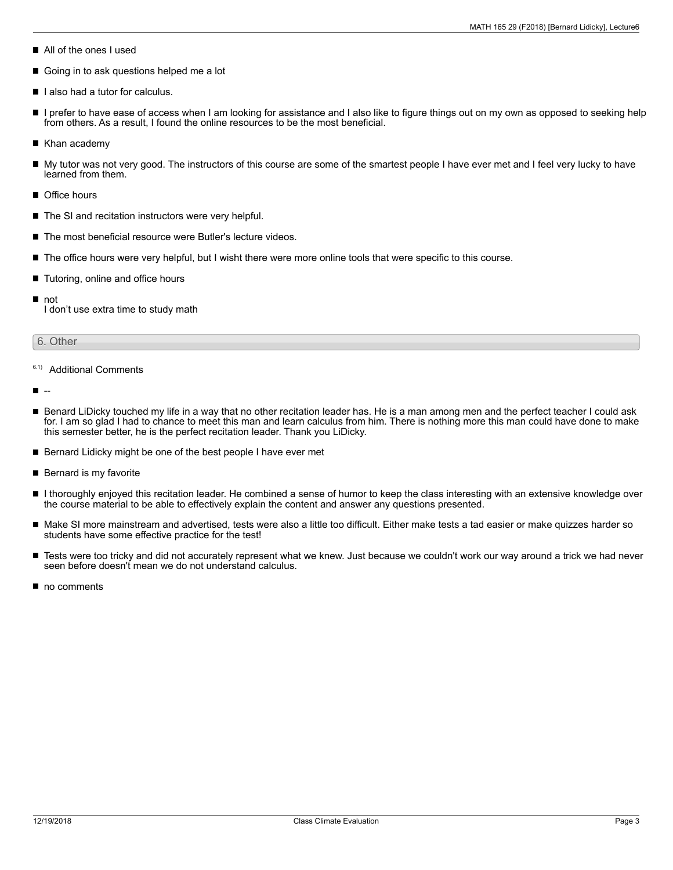- All of the ones I used
- Going in to ask questions helped me a lot
- I lalso had a tutor for calculus.
- I prefer to have ease of access when I am looking for assistance and I also like to figure things out on my own as opposed to seeking help  $\blacksquare$ from others. As a result, I found the online resources to be the most beneficial.
- Khan academy
- My tutor was not very good. The instructors of this course are some of the smartest people I have ever met and I feel very lucky to have learned from them.
- Office hours
- The SI and recitation instructors were very helpful.
- The most beneficial resource were Butler's lecture videos.
- The office hours were very helpful, but I wisht there were more online tools that were specific to this course.
- Tutoring, online and office hours
- not

I don't use extra time to study math

### 6. Other

## 6.1) Additional Comments

--

- Benard LiDicky touched my life in a way that no other recitation leader has. He is a man among men and the perfect teacher I could ask for. I am so glad I had to chance to meet this man and learn calculus from him. There is nothing more this man could have done to make this semester better, he is the perfect recitation leader. Thank you LiDicky.
- Bernard Lidicky might be one of the best people I have ever met  $\blacksquare$
- Bernard is my favorite
- $\blacksquare$ I thoroughly enjoyed this recitation leader. He combined a sense of humor to keep the class interesting with an extensive knowledge over the course material to be able to effectively explain the content and answer any questions presented.
- Make SI more mainstream and advertised, tests were also a little too difficult. Either make tests a tad easier or make quizzes harder so students have some effective practice for the test!
- $\blacksquare$ Tests were too tricky and did not accurately represent what we knew. Just because we couldn't work our way around a trick we had never seen before doesn't mean we do not understand calculus.
- no comments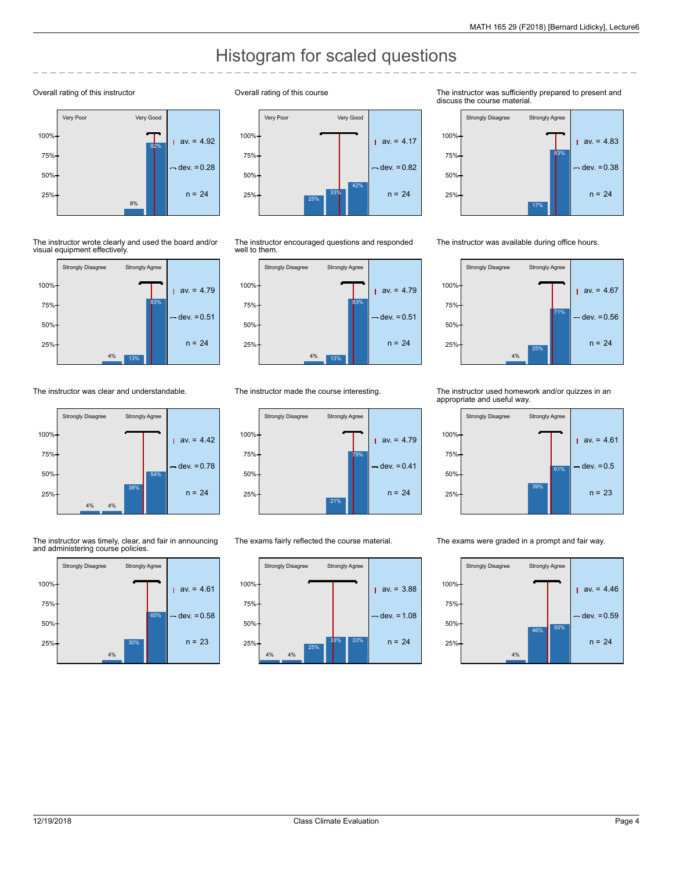# Histogram for scaled questions

#### Overall rating of this instructor



The instructor wrote clearly and used the board and/or visual equipment effectively.



The instructor was clear and understandable.



The instructor was timely, clear, and fair in announcing and administering course policies.



Overall rating of this course



The instructor encouraged questions and responded well to them.



The instructor made the course interesting.



The exams fairly reflected the course material.



The instructor was sufficiently prepared to present and discuss the course material.



The instructor was available during office hours.



The instructor used homework and/or quizzes in an appropriate and useful way.



The exams were graded in a prompt and fair way.

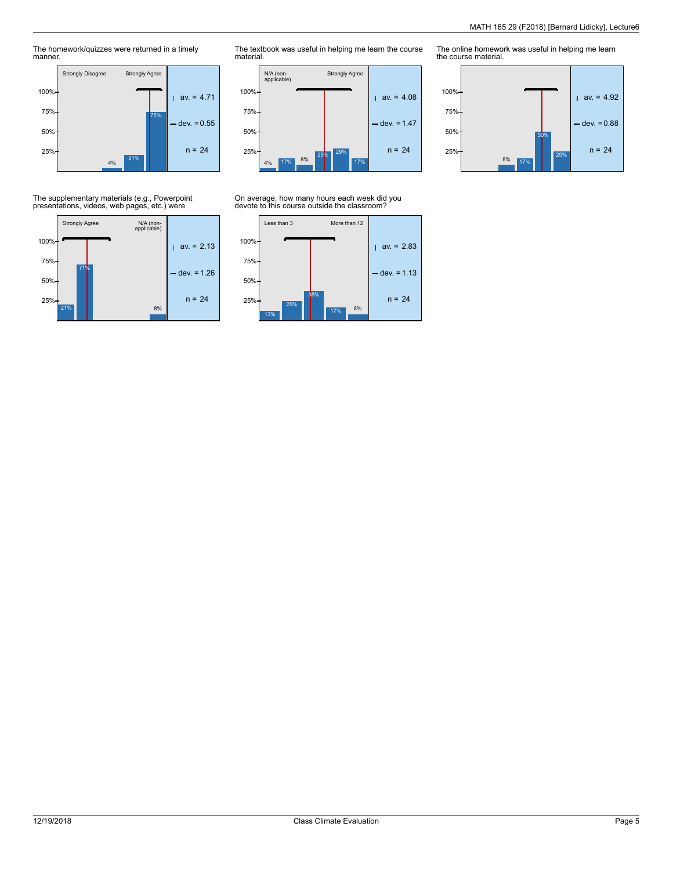25%

The homework/quizzes were returned in a timely manner.



The textbook was useful in helping me learn the course material.



On average, how many hours each week did you devote to this course outside the classroom?



The online homework was useful in helping me learn the course material. 50%  $|$  av. = 4.92  $-$  dev. = 0.88 50% 75% 100%

 $25\%$  n = 24

8% 17%

The supplementary materials (e.g., Powerpoint presentations, videos, web pages, etc.) were

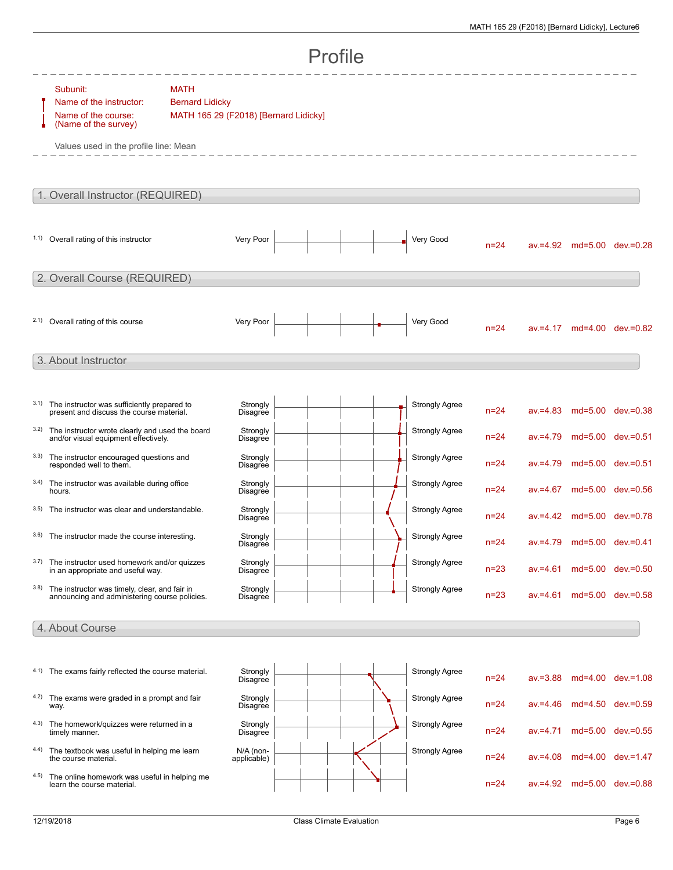| Profile                      |                                                                                                                             |                                                                                |  |  |                       |          |             |                            |                              |  |
|------------------------------|-----------------------------------------------------------------------------------------------------------------------------|--------------------------------------------------------------------------------|--|--|-----------------------|----------|-------------|----------------------------|------------------------------|--|
|                              | Subunit:<br>Name of the instructor:<br>Name of the course:<br>(Name of the survey)<br>Values used in the profile line: Mean | <b>MATH</b><br><b>Bernard Lidicky</b><br>MATH 165 29 (F2018) [Bernard Lidicky] |  |  |                       |          |             |                            |                              |  |
|                              | 1. Overall Instructor (REQUIRED)                                                                                            |                                                                                |  |  |                       |          |             |                            |                              |  |
|                              | 1.1) Overall rating of this instructor                                                                                      | Very Poor                                                                      |  |  | Very Good             | $n = 24$ |             |                            | av.=4.92 md=5.00 dev.=0.28   |  |
| 2. Overall Course (REQUIRED) |                                                                                                                             |                                                                                |  |  |                       |          |             |                            |                              |  |
|                              | 2.1) Overall rating of this course                                                                                          | Very Poor                                                                      |  |  | Very Good             | $n=24$   |             |                            | $av = 4.17$ md=4.00 dev=0.82 |  |
| 3. About Instructor          |                                                                                                                             |                                                                                |  |  |                       |          |             |                            |                              |  |
| 3.1)                         | The instructor was sufficiently prepared to<br>present and discuss the course material.                                     | Strongly<br>Disagree                                                           |  |  | <b>Strongly Agree</b> | $n = 24$ |             |                            | av.=4.83 md=5.00 dev.=0.38   |  |
| 3.2)                         | The instructor wrote clearly and used the board<br>and/or visual equipment effectively.                                     | Strongly<br>Disagree                                                           |  |  | <b>Strongly Agree</b> | $n = 24$ | $av = 4.79$ | md=5.00 dev.=0.51          |                              |  |
| 3.3)                         | The instructor encouraged questions and<br>responded well to them.                                                          | Strongly<br>Disagree                                                           |  |  | <b>Strongly Agree</b> | $n = 24$ | $av = 4.79$ | md=5.00 dev.=0.51          |                              |  |
| 3.4)                         | The instructor was available during office<br>hours.                                                                        | Strongly<br>Disagree                                                           |  |  | <b>Strongly Agree</b> | $n = 24$ |             |                            | av.=4.67 md=5.00 dev.=0.56   |  |
| 3.5)                         | The instructor was clear and understandable.                                                                                | Strongly<br>Disagree                                                           |  |  | <b>Strongly Agree</b> | $n = 24$ |             |                            | av.=4.42 md=5.00 dev.=0.78   |  |
| 3.6)                         | The instructor made the course interesting.                                                                                 | Strongly<br>Disagree                                                           |  |  | <b>Strongly Agree</b> | $n=24$   |             | av.=4.79 md=5.00 dev.=0.41 |                              |  |
| 3.7)                         | The instructor used homework and/or quizzes<br>in an appropriate and useful way.                                            | Strongly<br>Disagree                                                           |  |  | <b>Strongly Agree</b> | $n = 23$ | $av = 4.61$ |                            | md=5.00 dev.=0.50            |  |
| 3.8)                         | The instructor was timely, clear, and fair in<br>announcing and administering course policies.                              | Strongly<br><b>Disagree</b>                                                    |  |  | <b>Strongly Agree</b> | $n = 23$ | $av = 4.61$ |                            | md=5.00 dev.=0.58            |  |
|                              | 4. About Course                                                                                                             |                                                                                |  |  |                       |          |             |                            |                              |  |
|                              | 4.1) The exams fairly reflected the course material.                                                                        | Strongly<br><b>Disagree</b>                                                    |  |  | <b>Strongly Agree</b> | $n = 24$ | $av = 3.88$ |                            | md=4.00 dev.=1.08            |  |
|                              | 4.2) The exams were graded in a prompt and fair<br>way.                                                                     | Strongly<br>Disagree                                                           |  |  | Strongly Agree        | $n = 24$ | $av = 4.46$ |                            | md=4.50 dev.=0.59            |  |
|                              | 4.3) The homework/quizzes were returned in a<br>timely manner.                                                              | Strongly<br>Disagree                                                           |  |  | Strongly Agree        | $n = 24$ | $av = 4.71$ |                            | md=5.00 dev.=0.55            |  |
|                              | 4.4) The textbook was useful in helping me learn<br>the course material.                                                    | N/A (non-<br>applicable)                                                       |  |  | <b>Strongly Agree</b> | $n = 24$ | $av = 4.08$ |                            | md=4.00 dev.=1.47            |  |
| 4.5)                         | The online homework was useful in helping me<br>learn the course material.                                                  |                                                                                |  |  |                       | $n = 24$ |             |                            | av.=4.92 md=5.00 dev.=0.88   |  |